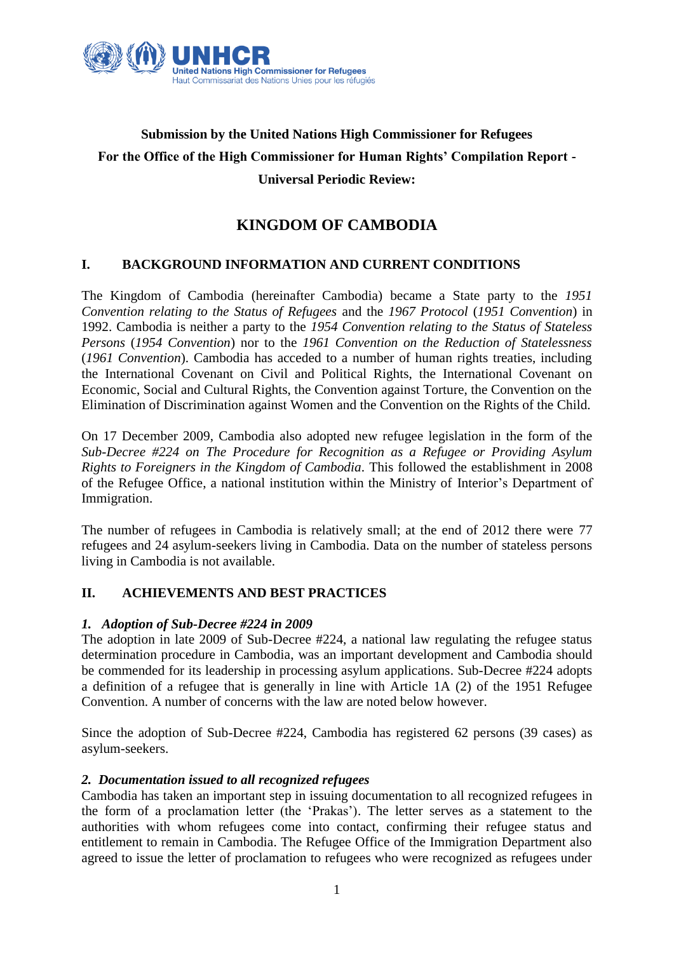

# **Submission by the United Nations High Commissioner for Refugees For the Office of the High Commissioner for Human Rights' Compilation Report - Universal Periodic Review:**

# **KINGDOM OF CAMBODIA**

# **I. BACKGROUND INFORMATION AND CURRENT CONDITIONS**

The Kingdom of Cambodia (hereinafter Cambodia) became a State party to the *1951 Convention relating to the Status of Refugees* and the *1967 Protocol* (*1951 Convention*) in 1992. Cambodia is neither a party to the *1954 Convention relating to the Status of Stateless Persons* (*1954 Convention*) nor to the *1961 Convention on the Reduction of Statelessness* (*1961 Convention*). Cambodia has acceded to a number of human rights treaties, including the International Covenant on Civil and Political Rights, the International Covenant on Economic, Social and Cultural Rights, the Convention against Torture, the Convention on the Elimination of Discrimination against Women and the Convention on the Rights of the Child.

On 17 December 2009, Cambodia also adopted new refugee legislation in the form of the *Sub-Decree #224 on The Procedure for Recognition as a Refugee or Providing Asylum Rights to Foreigners in the Kingdom of Cambodia.* This followed the establishment in 2008 of the Refugee Office, a national institution within the Ministry of Interior's Department of Immigration.

The number of refugees in Cambodia is relatively small; at the end of 2012 there were 77 refugees and 24 asylum-seekers living in Cambodia. Data on the number of stateless persons living in Cambodia is not available.

## **II. ACHIEVEMENTS AND BEST PRACTICES**

## *1. Adoption of Sub-Decree #224 in 2009*

The adoption in late 2009 of Sub-Decree #224, a national law regulating the refugee status determination procedure in Cambodia, was an important development and Cambodia should be commended for its leadership in processing asylum applications. Sub-Decree #224 adopts a definition of a refugee that is generally in line with Article 1A (2) of the 1951 Refugee Convention. A number of concerns with the law are noted below however.

Since the adoption of Sub-Decree #224, Cambodia has registered 62 persons (39 cases) as asylum-seekers.

## *2. Documentation issued to all recognized refugees*

Cambodia has taken an important step in issuing documentation to all recognized refugees in the form of a proclamation letter (the 'Prakas'). The letter serves as a statement to the authorities with whom refugees come into contact, confirming their refugee status and entitlement to remain in Cambodia. The Refugee Office of the Immigration Department also agreed to issue the letter of proclamation to refugees who were recognized as refugees under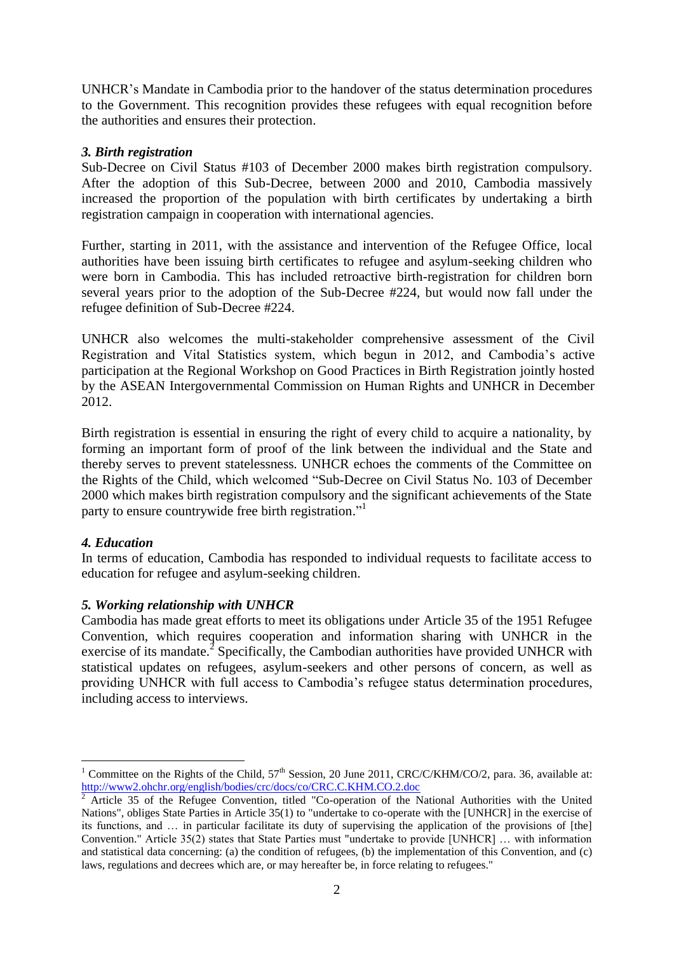UNHCR's Mandate in Cambodia prior to the handover of the status determination procedures to the Government. This recognition provides these refugees with equal recognition before the authorities and ensures their protection.

## *3. Birth registration*

Sub-Decree on Civil Status #103 of December 2000 makes birth registration compulsory. After the adoption of this Sub-Decree, between 2000 and 2010, Cambodia massively increased the proportion of the population with birth certificates by undertaking a birth registration campaign in cooperation with international agencies.

Further, starting in 2011, with the assistance and intervention of the Refugee Office, local authorities have been issuing birth certificates to refugee and asylum-seeking children who were born in Cambodia. This has included retroactive birth-registration for children born several years prior to the adoption of the Sub-Decree #224, but would now fall under the refugee definition of Sub-Decree #224.

UNHCR also welcomes the multi-stakeholder comprehensive assessment of the Civil Registration and Vital Statistics system, which begun in 2012, and Cambodia's active participation at the Regional Workshop on Good Practices in Birth Registration jointly hosted by the ASEAN Intergovernmental Commission on Human Rights and UNHCR in December 2012.

Birth registration is essential in ensuring the right of every child to acquire a nationality, by forming an important form of proof of the link between the individual and the State and thereby serves to prevent statelessness. UNHCR echoes the comments of the Committee on the Rights of the Child, which welcomed "Sub-Decree on Civil Status No. 103 of December 2000 which makes birth registration compulsory and the significant achievements of the State party to ensure countrywide free birth registration."<sup>1</sup>

# *4. Education*

In terms of education, Cambodia has responded to individual requests to facilitate access to education for refugee and asylum-seeking children.

# *5. Working relationship with UNHCR*

Cambodia has made great efforts to meet its obligations under Article 35 of the 1951 Refugee Convention, which requires cooperation and information sharing with UNHCR in the exercise of its mandate.<sup>2</sup> Specifically, the Cambodian authorities have provided UNHCR with statistical updates on refugees, asylum-seekers and other persons of concern, as well as providing UNHCR with full access to Cambodia's refugee status determination procedures, including access to interviews.

<sup>1</sup> Committee on the Rights of the Child,  $57<sup>th</sup>$  Session, 20 June 2011, CRC/C/KHM/CO/2, para. 36, available at: <http://www2.ohchr.org/english/bodies/crc/docs/co/CRC.C.KHM.CO.2.doc>

<sup>2</sup> Article 35 of the Refugee Convention, titled "Co-operation of the National Authorities with the United Nations", obliges State Parties in Article 35(1) to "undertake to co-operate with the [UNHCR] in the exercise of its functions, and … in particular facilitate its duty of supervising the application of the provisions of [the] Convention." Article 35(2) states that State Parties must "undertake to provide [UNHCR] … with information and statistical data concerning: (a) the condition of refugees, (b) the implementation of this Convention, and (c) laws, regulations and decrees which are, or may hereafter be, in force relating to refugees."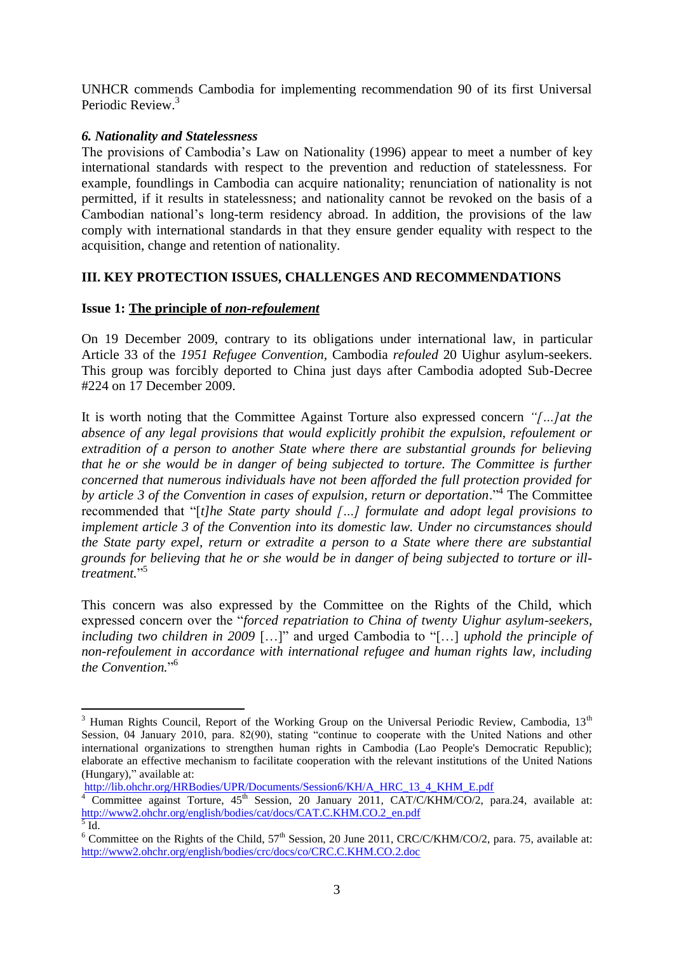UNHCR commends Cambodia for implementing recommendation 90 of its first Universal Periodic Review.<sup>3</sup>

## *6. Nationality and Statelessness*

The provisions of Cambodia's Law on Nationality (1996) appear to meet a number of key international standards with respect to the prevention and reduction of statelessness. For example, foundlings in Cambodia can acquire nationality; renunciation of nationality is not permitted, if it results in statelessness; and nationality cannot be revoked on the basis of a Cambodian national's long-term residency abroad. In addition, the provisions of the law comply with international standards in that they ensure gender equality with respect to the acquisition, change and retention of nationality.

# **III. KEY PROTECTION ISSUES, CHALLENGES AND RECOMMENDATIONS**

## **Issue 1: The principle of** *non-refoulement*

On 19 December 2009, contrary to its obligations under international law, in particular Article 33 of the *1951 Refugee Convention,* Cambodia *refouled* 20 Uighur asylum-seekers. This group was forcibly deported to China just days after Cambodia adopted Sub-Decree #224 on 17 December 2009.

It is worth noting that the Committee Against Torture also expressed concern *"[…]at the absence of any legal provisions that would explicitly prohibit the expulsion, refoulement or extradition of a person to another State where there are substantial grounds for believing that he or she would be in danger of being subjected to torture. The Committee is further concerned that numerous individuals have not been afforded the full protection provided for*  by article 3 of the Convention in cases of expulsion, return or deportation."<sup>4</sup> The Committee recommended that "[*t]he State party should […] formulate and adopt legal provisions to implement article 3 of the Convention into its domestic law. Under no circumstances should the State party expel, return or extradite a person to a State where there are substantial grounds for believing that he or she would be in danger of being subjected to torture or illtreatment.*" 5

This concern was also expressed by the Committee on the Rights of the Child, which expressed concern over the "*forced repatriation to China of twenty Uighur asylum-seekers, including two children in 2009* […]" and urged Cambodia to "[…] *uphold the principle of non-refoulement in accordance with international refugee and human rights law, including the Convention.*" 6

1

 $3$  Human Rights Council, Report of the Working Group on the Universal Periodic Review, Cambodia, 13<sup>th</sup> Session, 04 January 2010, para. 82(90), stating "continue to cooperate with the United Nations and other international organizations to strengthen human rights in Cambodia (Lao People's Democratic Republic); elaborate an effective mechanism to facilitate cooperation with the relevant institutions of the United Nations (Hungary)," available at:

[http://lib.ohchr.org/HRBodies/UPR/Documents/Session6/KH/A\\_HRC\\_13\\_4\\_KHM\\_E.pdf](http://lib.ohchr.org/HRBodies/UPR/Documents/Session6/KH/A_HRC_13_4_KHM_E.pdf)

<sup>&</sup>lt;sup>4</sup> Committee against Torture, 45<sup>th</sup> Session, 20 January 2011, CAT/C/KHM/CO/2, para.24, available at: [http://www2.ohchr.org/english/bodies/cat/docs/CAT.C.KHM.CO.2\\_en.pdf](http://www2.ohchr.org/english/bodies/cat/docs/CAT.C.KHM.CO.2_en.pdf)

 $<sup>5</sup>$  Id.</sup>

<sup>&</sup>lt;sup>6</sup> Committee on the Rights of the Child,  $57<sup>th</sup>$  Session, 20 June 2011, CRC/C/KHM/CO/2, para. 75, available at: <http://www2.ohchr.org/english/bodies/crc/docs/co/CRC.C.KHM.CO.2.doc>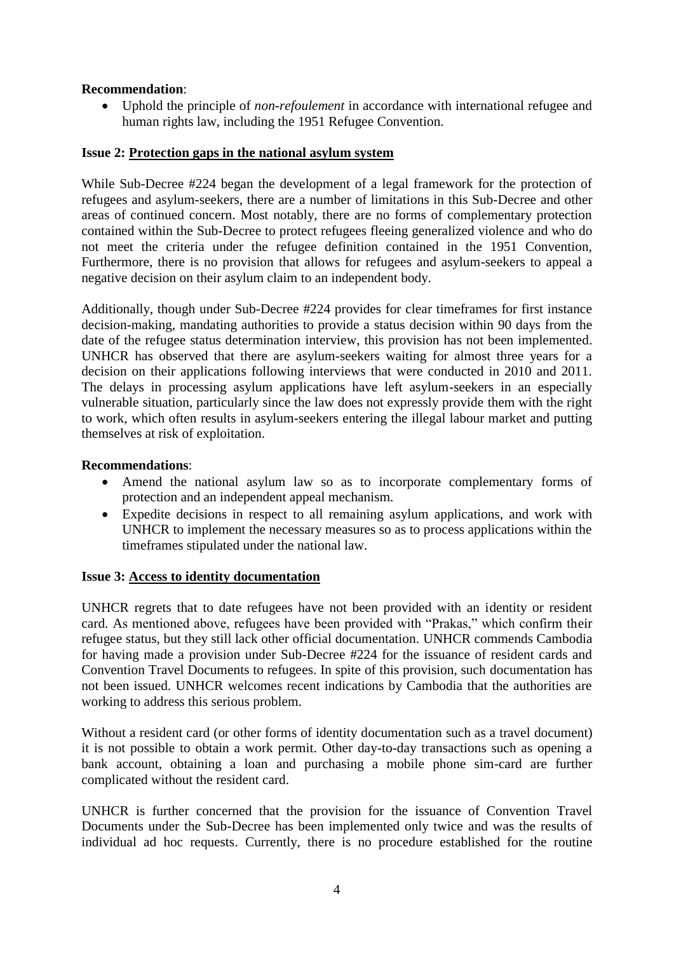# **Recommendation**:

 Uphold the principle of *non-refoulement* in accordance with international refugee and human rights law, including the 1951 Refugee Convention.

## **Issue 2: Protection gaps in the national asylum system**

While Sub-Decree #224 began the development of a legal framework for the protection of refugees and asylum-seekers, there are a number of limitations in this Sub-Decree and other areas of continued concern. Most notably, there are no forms of complementary protection contained within the Sub-Decree to protect refugees fleeing generalized violence and who do not meet the criteria under the refugee definition contained in the 1951 Convention, Furthermore, there is no provision that allows for refugees and asylum-seekers to appeal a negative decision on their asylum claim to an independent body.

Additionally, though under Sub-Decree #224 provides for clear timeframes for first instance decision-making, mandating authorities to provide a status decision within 90 days from the date of the refugee status determination interview, this provision has not been implemented. UNHCR has observed that there are asylum-seekers waiting for almost three years for a decision on their applications following interviews that were conducted in 2010 and 2011. The delays in processing asylum applications have left asylum-seekers in an especially vulnerable situation, particularly since the law does not expressly provide them with the right to work, which often results in asylum-seekers entering the illegal labour market and putting themselves at risk of exploitation.

## **Recommendations**:

- Amend the national asylum law so as to incorporate complementary forms of protection and an independent appeal mechanism.
- Expedite decisions in respect to all remaining asylum applications, and work with UNHCR to implement the necessary measures so as to process applications within the timeframes stipulated under the national law.

## **Issue 3: Access to identity documentation**

UNHCR regrets that to date refugees have not been provided with an identity or resident card. As mentioned above, refugees have been provided with "Prakas," which confirm their refugee status, but they still lack other official documentation. UNHCR commends Cambodia for having made a provision under Sub-Decree #224 for the issuance of resident cards and Convention Travel Documents to refugees. In spite of this provision, such documentation has not been issued. UNHCR welcomes recent indications by Cambodia that the authorities are working to address this serious problem.

Without a resident card (or other forms of identity documentation such as a travel document) it is not possible to obtain a work permit. Other day-to-day transactions such as opening a bank account, obtaining a loan and purchasing a mobile phone sim-card are further complicated without the resident card.

UNHCR is further concerned that the provision for the issuance of Convention Travel Documents under the Sub-Decree has been implemented only twice and was the results of individual ad hoc requests. Currently, there is no procedure established for the routine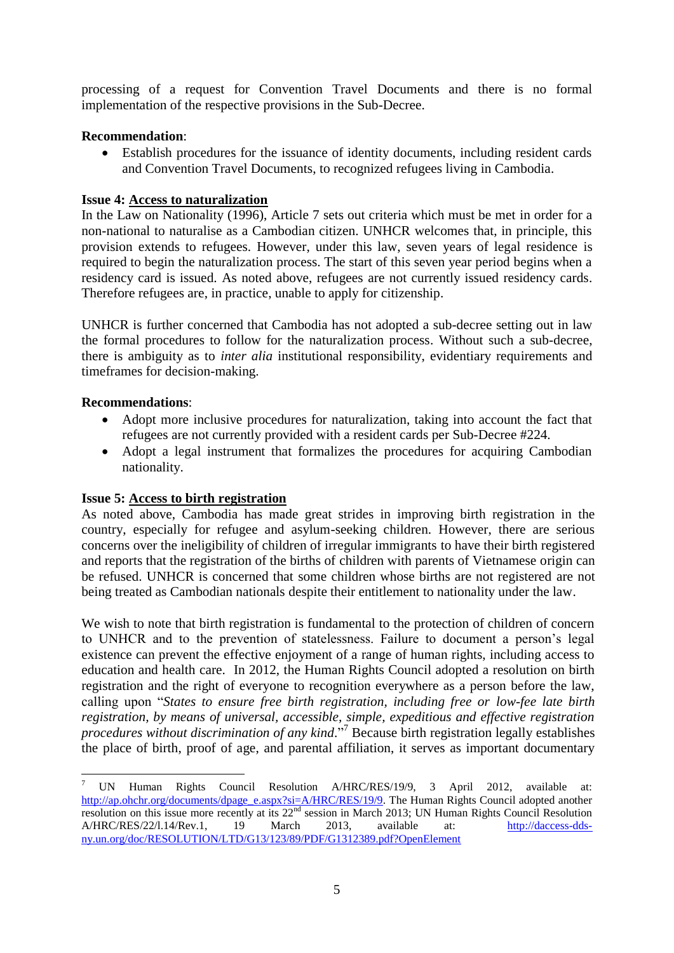processing of a request for Convention Travel Documents and there is no formal implementation of the respective provisions in the Sub-Decree.

## **Recommendation**:

 Establish procedures for the issuance of identity documents, including resident cards and Convention Travel Documents, to recognized refugees living in Cambodia.

## **Issue 4: Access to naturalization**

In the Law on Nationality (1996), Article 7 sets out criteria which must be met in order for a non-national to naturalise as a Cambodian citizen. UNHCR welcomes that, in principle, this provision extends to refugees. However, under this law, seven years of legal residence is required to begin the naturalization process. The start of this seven year period begins when a residency card is issued. As noted above, refugees are not currently issued residency cards. Therefore refugees are, in practice, unable to apply for citizenship.

UNHCR is further concerned that Cambodia has not adopted a sub-decree setting out in law the formal procedures to follow for the naturalization process. Without such a sub-decree, there is ambiguity as to *inter alia* institutional responsibility, evidentiary requirements and timeframes for decision-making.

## **Recommendations**:

- Adopt more inclusive procedures for naturalization, taking into account the fact that refugees are not currently provided with a resident cards per Sub-Decree #224.
- Adopt a legal instrument that formalizes the procedures for acquiring Cambodian nationality.

# **Issue 5: Access to birth registration**

As noted above, Cambodia has made great strides in improving birth registration in the country, especially for refugee and asylum-seeking children. However, there are serious concerns over the ineligibility of children of irregular immigrants to have their birth registered and reports that the registration of the births of children with parents of Vietnamese origin can be refused. UNHCR is concerned that some children whose births are not registered are not being treated as Cambodian nationals despite their entitlement to nationality under the law.

We wish to note that birth registration is fundamental to the protection of children of concern to UNHCR and to the prevention of statelessness. Failure to document a person's legal existence can prevent the effective enjoyment of a range of human rights, including access to education and health care. In 2012, the Human Rights Council adopted a resolution on birth registration and the right of everyone to recognition everywhere as a person before the law, calling upon "*States to ensure free birth registration, including free or low-fee late birth registration, by means of universal, accessible, simple, expeditious and effective registration procedures without discrimination of any kind.*" <sup>7</sup> Because birth registration legally establishes the place of birth, proof of age, and parental affiliation, it serves as important documentary

<sup>&</sup>lt;u>.</u> <sup>7</sup> UN Human Rights Council Resolution A/HRC/RES/19/9, 3 April 2012, available at: [http://ap.ohchr.org/documents/dpage\\_e.aspx?si=A/HRC/RES/19/9.](http://ap.ohchr.org/documents/dpage_e.aspx?si=A/HRC/RES/19/9) The Human Rights Council adopted another resolution on this issue more recently at its 22<sup>nd</sup> session in March 2013; UN Human Rights Council Resolution A/HRC/RES/22/l.14/Rev.1, 19 March 2013, available at: [http://daccess-dds](http://daccess-dds-ny.un.org/doc/RESOLUTION/LTD/G13/123/89/PDF/G1312389.pdf?OpenElement)[ny.un.org/doc/RESOLUTION/LTD/G13/123/89/PDF/G1312389.pdf?OpenElement](http://daccess-dds-ny.un.org/doc/RESOLUTION/LTD/G13/123/89/PDF/G1312389.pdf?OpenElement)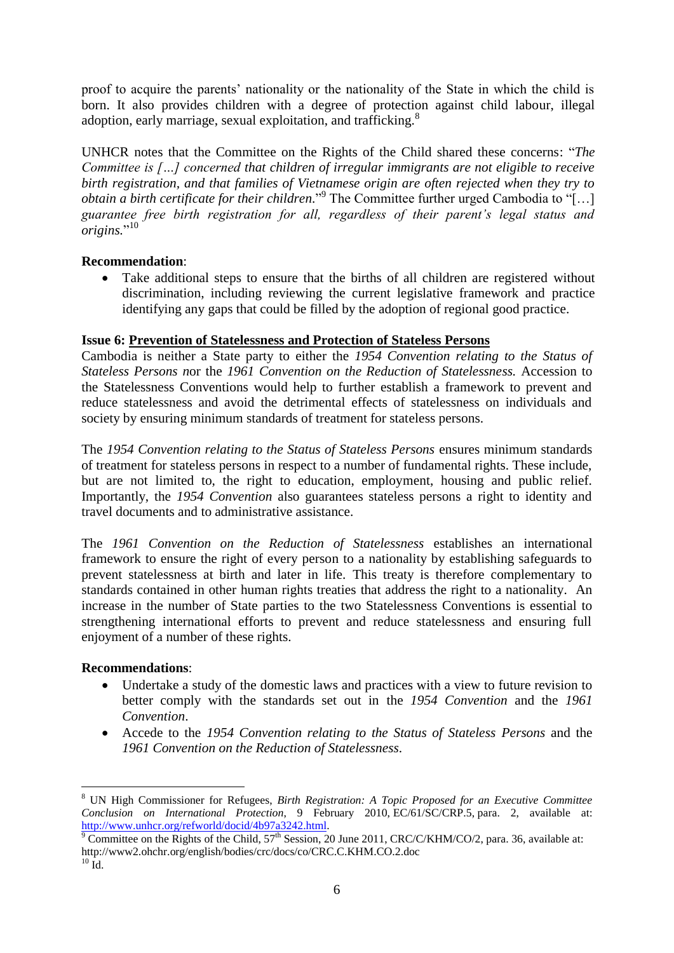proof to acquire the parents' nationality or the nationality of the State in which the child is born. It also provides children with a degree of protection against child labour, illegal adoption, early marriage, sexual exploitation, and trafficking.<sup>8</sup>

UNHCR notes that the Committee on the Rights of the Child shared these concerns: "*The Committee is […] concerned that children of irregular immigrants are not eligible to receive birth registration, and that families of Vietnamese origin are often rejected when they try to obtain a birth certificate for their children.*" 9 The Committee further urged Cambodia to "[…] *guarantee free birth registration for all, regardless of their parent's legal status and origins.*" 10

# **Recommendation**:

 Take additional steps to ensure that the births of all children are registered without discrimination, including reviewing the current legislative framework and practice identifying any gaps that could be filled by the adoption of regional good practice.

## **Issue 6: Prevention of Statelessness and Protection of Stateless Persons**

Cambodia is neither a State party to either the *1954 Convention relating to the Status of Stateless Persons n*or the *1961 Convention on the Reduction of Statelessness.* Accession to the Statelessness Conventions would help to further establish a framework to prevent and reduce statelessness and avoid the detrimental effects of statelessness on individuals and society by ensuring minimum standards of treatment for stateless persons.

The *1954 Convention relating to the Status of Stateless Persons* ensures minimum standards of treatment for stateless persons in respect to a number of fundamental rights. These include, but are not limited to, the right to education, employment, housing and public relief. Importantly, the *1954 Convention* also guarantees stateless persons a right to identity and travel documents and to administrative assistance.

The *1961 Convention on the Reduction of Statelessness* establishes an international framework to ensure the right of every person to a nationality by establishing safeguards to prevent statelessness at birth and later in life. This treaty is therefore complementary to standards contained in other human rights treaties that address the right to a nationality. An increase in the number of State parties to the two Statelessness Conventions is essential to strengthening international efforts to prevent and reduce statelessness and ensuring full enjoyment of a number of these rights.

## **Recommendations**:

- Undertake a study of the domestic laws and practices with a view to future revision to better comply with the standards set out in the *1954 Convention* and the *1961 Convention*.
- Accede to the *1954 Convention relating to the Status of Stateless Persons* and the *1961 Convention on the Reduction of Statelessness.*

1

<sup>8</sup> UN High Commissioner for Refugees, *Birth Registration: A Topic Proposed for an Executive Committee Conclusion on International Protection*, 9 February 2010, EC/61/SC/CRP.5, para. 2, available at: [http://www.unhcr.org/refworld/docid/4b97a3242.html.](http://www.unhcr.org/refworld/docid/4b97a3242.html)

 $9^9$  Committee on the Rights of the Child,  $57^{\text{th}}$  Session, 20 June 2011, CRC/C/KHM/CO/2, para. 36, available at: http://www2.ohchr.org/english/bodies/crc/docs/co/CRC.C.KHM.CO.2.doc  $^{10}$  Id.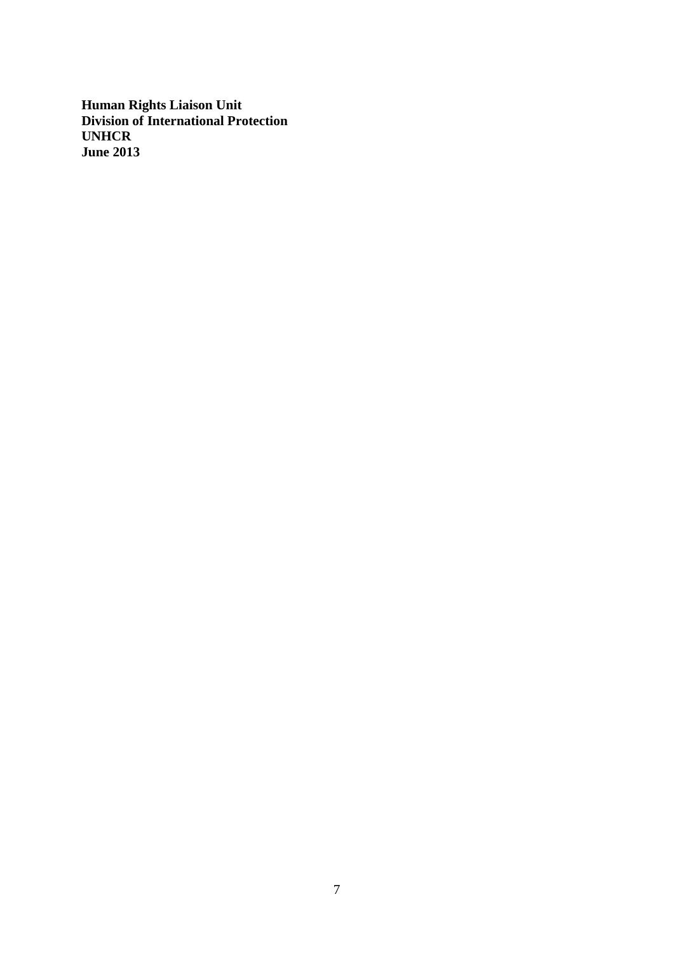**Human Rights Liaison Unit Division of International Protection UNHCR June 2013**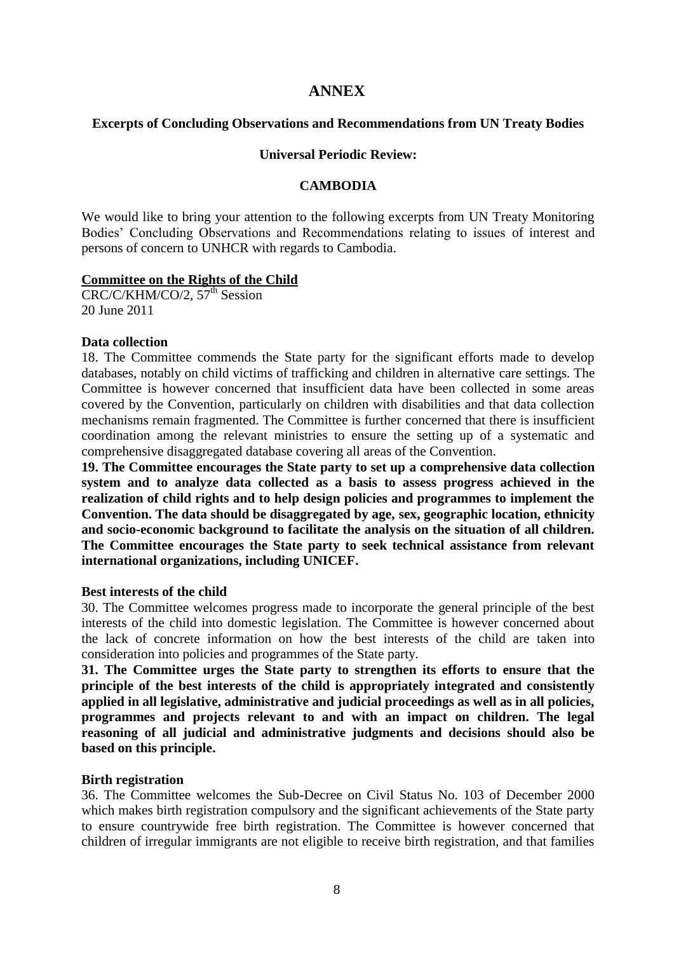# **ANNEX**

#### **Excerpts of Concluding Observations and Recommendations from UN Treaty Bodies**

#### **Universal Periodic Review:**

#### **CAMBODIA**

We would like to bring your attention to the following excerpts from UN Treaty Monitoring Bodies' Concluding Observations and Recommendations relating to issues of interest and persons of concern to UNHCR with regards to Cambodia.

#### **Committee on the Rights of the Child**

CRC/C/KHM/CO/2, 57<sup>th</sup> Session 20 June 2011

#### **Data collection**

18. The Committee commends the State party for the significant efforts made to develop databases, notably on child victims of trafficking and children in alternative care settings. The Committee is however concerned that insufficient data have been collected in some areas covered by the Convention, particularly on children with disabilities and that data collection mechanisms remain fragmented. The Committee is further concerned that there is insufficient coordination among the relevant ministries to ensure the setting up of a systematic and comprehensive disaggregated database covering all areas of the Convention.

**19. The Committee encourages the State party to set up a comprehensive data collection system and to analyze data collected as a basis to assess progress achieved in the realization of child rights and to help design policies and programmes to implement the Convention. The data should be disaggregated by age, sex, geographic location, ethnicity and socio-economic background to facilitate the analysis on the situation of all children. The Committee encourages the State party to seek technical assistance from relevant international organizations, including UNICEF.** 

## **Best interests of the child**

30. The Committee welcomes progress made to incorporate the general principle of the best interests of the child into domestic legislation. The Committee is however concerned about the lack of concrete information on how the best interests of the child are taken into consideration into policies and programmes of the State party.

**31. The Committee urges the State party to strengthen its efforts to ensure that the principle of the best interests of the child is appropriately integrated and consistently applied in all legislative, administrative and judicial proceedings as well as in all policies, programmes and projects relevant to and with an impact on children. The legal reasoning of all judicial and administrative judgments and decisions should also be based on this principle.**

## **Birth registration**

36. The Committee welcomes the Sub-Decree on Civil Status No. 103 of December 2000 which makes birth registration compulsory and the significant achievements of the State party to ensure countrywide free birth registration. The Committee is however concerned that children of irregular immigrants are not eligible to receive birth registration, and that families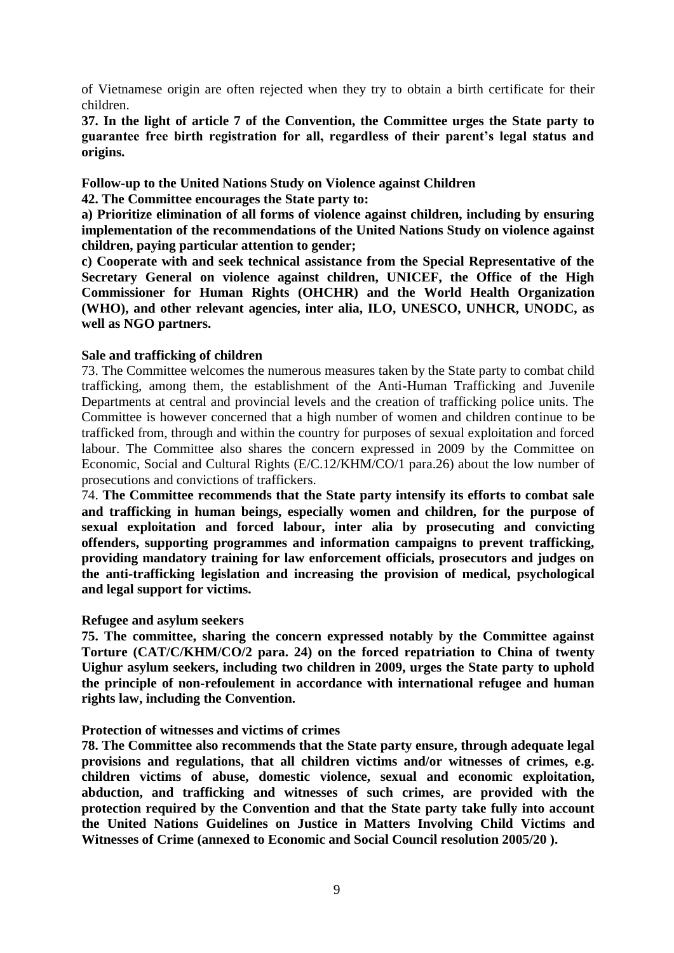of Vietnamese origin are often rejected when they try to obtain a birth certificate for their children.

**37. In the light of article 7 of the Convention, the Committee urges the State party to guarantee free birth registration for all, regardless of their parent's legal status and origins.**

**Follow-up to the United Nations Study on Violence against Children**

**42. The Committee encourages the State party to:**

**a) Prioritize elimination of all forms of violence against children, including by ensuring implementation of the recommendations of the United Nations Study on violence against children, paying particular attention to gender;** 

**c) Cooperate with and seek technical assistance from the Special Representative of the Secretary General on violence against children, UNICEF, the Office of the High Commissioner for Human Rights (OHCHR) and the World Health Organization (WHO), and other relevant agencies, inter alia, ILO, UNESCO, UNHCR, UNODC, as well as NGO partners.**

## **Sale and trafficking of children**

73. The Committee welcomes the numerous measures taken by the State party to combat child trafficking, among them, the establishment of the Anti-Human Trafficking and Juvenile Departments at central and provincial levels and the creation of trafficking police units. The Committee is however concerned that a high number of women and children continue to be trafficked from, through and within the country for purposes of sexual exploitation and forced labour. The Committee also shares the concern expressed in 2009 by the Committee on Economic, Social and Cultural Rights (E/C.12/KHM/CO/1 para.26) about the low number of prosecutions and convictions of traffickers.

74. **The Committee recommends that the State party intensify its efforts to combat sale and trafficking in human beings, especially women and children, for the purpose of sexual exploitation and forced labour, inter alia by prosecuting and convicting offenders, supporting programmes and information campaigns to prevent trafficking, providing mandatory training for law enforcement officials, prosecutors and judges on the anti-trafficking legislation and increasing the provision of medical, psychological and legal support for victims.** 

#### **Refugee and asylum seekers**

**75. The committee, sharing the concern expressed notably by the Committee against Torture (CAT/C/KHM/CO/2 para. 24) on the forced repatriation to China of twenty Uighur asylum seekers, including two children in 2009, urges the State party to uphold the principle of non-refoulement in accordance with international refugee and human rights law, including the Convention.**

## **Protection of witnesses and victims of crimes**

**78. The Committee also recommends that the State party ensure, through adequate legal provisions and regulations, that all children victims and/or witnesses of crimes, e.g. children victims of abuse, domestic violence, sexual and economic exploitation, abduction, and trafficking and witnesses of such crimes, are provided with the protection required by the Convention and that the State party take fully into account the United Nations Guidelines on Justice in Matters Involving Child Victims and Witnesses of Crime (annexed to Economic and Social Council resolution 2005/20 ).**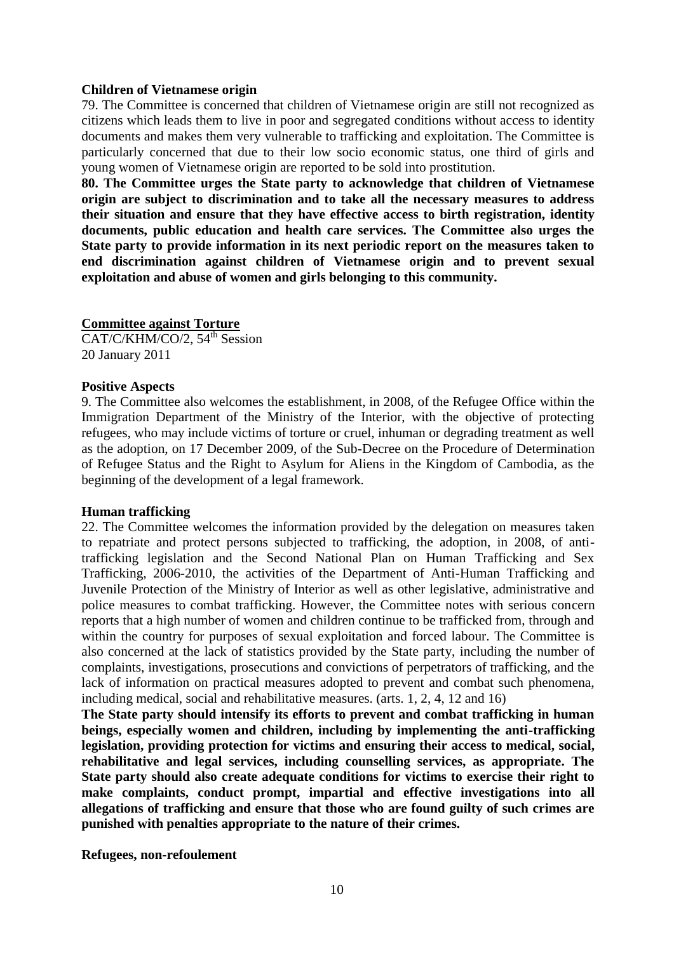#### **Children of Vietnamese origin**

79. The Committee is concerned that children of Vietnamese origin are still not recognized as citizens which leads them to live in poor and segregated conditions without access to identity documents and makes them very vulnerable to trafficking and exploitation. The Committee is particularly concerned that due to their low socio economic status, one third of girls and young women of Vietnamese origin are reported to be sold into prostitution.

**80. The Committee urges the State party to acknowledge that children of Vietnamese origin are subject to discrimination and to take all the necessary measures to address their situation and ensure that they have effective access to birth registration, identity documents, public education and health care services. The Committee also urges the State party to provide information in its next periodic report on the measures taken to end discrimination against children of Vietnamese origin and to prevent sexual exploitation and abuse of women and girls belonging to this community.**

#### **Committee against Torture**

 $CAT/C/KHM/CO/2, 54<sup>th</sup> Session$ 20 January 2011

#### **Positive Aspects**

9. The Committee also welcomes the establishment, in 2008, of the Refugee Office within the Immigration Department of the Ministry of the Interior, with the objective of protecting refugees, who may include victims of torture or cruel, inhuman or degrading treatment as well as the adoption, on 17 December 2009, of the Sub-Decree on the Procedure of Determination of Refugee Status and the Right to Asylum for Aliens in the Kingdom of Cambodia, as the beginning of the development of a legal framework.

#### **Human trafficking**

22. The Committee welcomes the information provided by the delegation on measures taken to repatriate and protect persons subjected to trafficking, the adoption, in 2008, of antitrafficking legislation and the Second National Plan on Human Trafficking and Sex Trafficking, 2006-2010, the activities of the Department of Anti-Human Trafficking and Juvenile Protection of the Ministry of Interior as well as other legislative, administrative and police measures to combat trafficking. However, the Committee notes with serious concern reports that a high number of women and children continue to be trafficked from, through and within the country for purposes of sexual exploitation and forced labour. The Committee is also concerned at the lack of statistics provided by the State party, including the number of complaints, investigations, prosecutions and convictions of perpetrators of trafficking, and the lack of information on practical measures adopted to prevent and combat such phenomena, including medical, social and rehabilitative measures. (arts. 1, 2, 4, 12 and 16)

**The State party should intensify its efforts to prevent and combat trafficking in human beings, especially women and children, including by implementing the anti-trafficking legislation, providing protection for victims and ensuring their access to medical, social, rehabilitative and legal services, including counselling services, as appropriate. The State party should also create adequate conditions for victims to exercise their right to make complaints, conduct prompt, impartial and effective investigations into all allegations of trafficking and ensure that those who are found guilty of such crimes are punished with penalties appropriate to the nature of their crimes.**

**Refugees, non-refoulement**